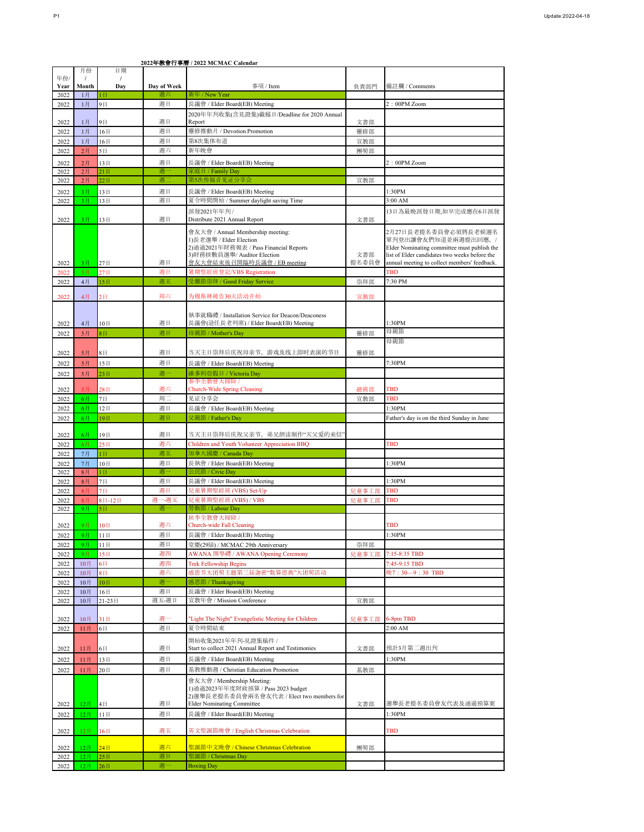|      | 月份             | 日期                |             | 2022年数買仃拿層 / 2022 MUMAU Ualendal                                 |       |                                               |
|------|----------------|-------------------|-------------|------------------------------------------------------------------|-------|-----------------------------------------------|
| 年份/  |                | $\prime$          |             |                                                                  |       |                                               |
| Year | Month          | Day               | Day of Week | 事項 / Item                                                        | 負責部門  | 備註欄 / Comments                                |
|      |                |                   |             |                                                                  |       |                                               |
| 2022 | 1月             | 1日                | 週六          | 新年 / New Year                                                    |       |                                               |
| 2022 | 1月             | 9日                | 週日          | 長議會 / Elder Board(EB) Meeting                                    |       | 2:00PM Zoom                                   |
|      |                |                   |             | 2020年年刋收集(含見證集)截稿日/Deadline for 2020 Annual                      |       |                                               |
| 2022 | 1月             | 9日                | 週日          | Report                                                           | 文書部   |                                               |
| 2022 | 1月             | 16日               | 週日          | 靈修推動月 / Devotion Promotion                                       | 靈修部   |                                               |
| 2022 | 1月             | 16日               | 週日          | 第8次集体布道                                                          | 宣教部   |                                               |
| 2022 | 2月             | 5日                | 週六          | 新年晚會                                                             | 團契部   |                                               |
|      |                |                   |             |                                                                  |       |                                               |
| 2022 | 2月             | 13日               | 週日          | 長議會 / Elder Board(EB) Meeting                                    |       | 2:00PM Zoom                                   |
| 2022 | 2月             | 21 <sub>H</sub>   | 调-          | 家庭日 / Family Day                                                 |       |                                               |
| 2022 | 2月             | 22E               | 週           | 第5次传福音见证分享会                                                      | 宣教部   |                                               |
| 2022 | 3月             | 13日               | 週日          | 長議會 / Elder Board(EB) Meeting                                    |       | 1:30PM                                        |
| 2022 | 3月             | 13日               | 週日          | 夏令時間開始 / Summer daylight saving Time                             |       | 3:00 AM                                       |
|      |                |                   |             | 派發2021年年刋 /                                                      |       | 13日為最晚派發日期,如早完成應在6日派發                         |
| 2022 | 3月             | 13日               | 週日          | Distribute 2021 Annual Report                                    | 文書部   |                                               |
|      |                |                   |             |                                                                  |       | 2月27日長老提名委員會必須將長老候選名                          |
|      |                |                   |             | 會友大會 / Annual Membership meeting:<br>1)長老選擧 / Elder Election     |       | 單刋登出讓會友們知道並兩週提出回應。/                           |
|      |                |                   |             | 2)通過2021年財務報表 / Pass Financial Reports                           |       | Elder Nominating committee must publish the   |
|      |                |                   |             | 3)財務核數員選舉/ Auditor Election                                      | 文書部   | list of Elder candidates two weeks before the |
| 2022 | 3月             | 27日               | 週日          | 會友大會結束後召開臨時長議會 / EB meeting                                      | 提名委員會 | annual meeting to collect members' feedback.  |
| 2022 | 3月             | 27日               | 週日          | 暑期聖經班登記/VBS Registration                                         |       | <b>TBD</b>                                    |
| 2022 | 4月             | 15日               | 週五          | 受難節崇拜 / Good Friday Service                                      | 崇拜部   | 7:30 PM                                       |
|      |                |                   |             |                                                                  |       |                                               |
| 2022 | 4月             | 2 <sub>H</sub>    | 周六          | 为穆斯林祷告30天活动开始                                                    | 宣教部   |                                               |
|      |                |                   |             |                                                                  |       |                                               |
|      |                |                   |             | 執事就職禮 / Installation Service for Deacon/Deaconess                |       |                                               |
| 2022 | 4月             | 10日               | 週日          | 長議會(退任長老列席) / Elder Board(EB) Meeting                            |       | 1:30PM                                        |
| 2022 | 5月             | $8 \text{ H}$     | 週日          | 母親節 / Mother's Day                                               | 靈修部   | 母親節                                           |
|      |                |                   |             |                                                                  |       | 母親節                                           |
| 2022 | 5月             | $8 \Box$          | 週日          | 当天主日崇拜后庆祝母亲节,游戏及线上即时表演的节目                                        | 靈修部   |                                               |
|      |                |                   |             |                                                                  |       |                                               |
| 2022 | 5月             | 15日               | 週日          | 長議會 / Elder Board(EB) Meeting                                    |       | 7:30PM                                        |
| 2022 | 5月             | 23日               | 週一          | 維多利亞假日 / Victoria Day                                            |       |                                               |
|      | 5月             |                   | 週六          | 春季全教會大掃除 /                                                       |       | <b>TBD</b>                                    |
| 2022 |                | 28日               |             | Church-Wide Spring Cleaning                                      | 總務部   |                                               |
| 2022 | 6月             | 7日                | 周二          | 见证分享会                                                            | 宣教部   | <b>TBD</b>                                    |
| 2022 | 6月             | 12日               | 週日          | 長議會 / Elder Board(EB) Meeting                                    |       | 1:30PM                                        |
| 2022 | 6月             | 19日               | 週日          | 父親節 / Father's Day                                               |       | Father's day is on the third Sunday in June   |
|      |                |                   |             |                                                                  |       |                                               |
| 2022 | 6月             | 19日               | 週日          | 当天主日崇拜后庆祝父亲节,弟兄朗读制作"天父爱的来信                                       |       |                                               |
| 2022 | 6月             | 25日               | 週六          | Children and Youth Volunteer Appreciation BBQ                    |       | TBD                                           |
| 2022 | 7月             | $1 \vert \Box$    | 週五          | 加拿大國慶 / Canada Day                                               |       |                                               |
| 2022 | 7月             | 10日               | 週日          | 長執會 / Elder Board(EB) Meeting                                    |       | 1:30PM                                        |
| 2022 | 8 <sub>月</sub> | $1 \vert B \vert$ | 週一          | 公民節 / Civic Day                                                  |       |                                               |
| 2022 | 8月             | 7日                | 週日          | 長議會 / Elder Board(EB) Meeting                                    |       | 1:30PM                                        |
| 2022 | 8 <sup>7</sup> | 7日                | 週日          | 兒童暑期聖經班 (VBS) Set-Up                                             | 兒童事工部 | <b>TBD</b>                                    |
| 2022 | 8月             | 8日-12日            | 週<br>一週五    | 兒童暑期聖經班 (VBS) / VBS                                              | 兒童事工部 | TBD                                           |
| 2022 | 9月             | 5日                | 週           | 勞動節 / Labour Day                                                 |       |                                               |
|      |                |                   |             | 秋季全教會大掃除 /                                                       |       |                                               |
| 2022 | 9月             | 10日               | 週六          | Church-wide Fall Cleaning                                        |       | TBD                                           |
| 2022 | чε             | 11日               | 週日          | 長議會 / Elder Board(EB) Meeting                                    |       | 1:30PM                                        |
| 2022 | 9月             | 11日               | 週日          | 堂慶(29屆) / MCMAC 29th Anniversary                                 | 崇拜部   |                                               |
| 2022 | 9月             | 15日               | 週四          | AWANA 開學禮 / AWANA Opening Ceremony                               | 兒童事工部 | 7:15-8:35 TBD                                 |
| 2022 | 10月            | 6日                | 週四          | <b>Trek Fellowship Begins</b>                                    |       | 7:45-9:15 TBD                                 |
| 2022 | 10月            | $8 \text{ H}$     | 週六          | 感恩节大团契主题第三届迦密"数算恩典"大团契活动                                         |       | 晚7:30—9:30 TBD                                |
| 2022 | 10月            | 10日               | 週一          | 感恩節 / Thanksgiving                                               |       |                                               |
| 2022 | 10月            | 16日               | 週日          | 長議會 / Elder Board(EB) Meeting                                    |       |                                               |
| 2022 | 10月            | 21-23日            | 週五週日        | 宣教年會 / Mission Conference                                        | 宣教部   |                                               |
|      |                |                   |             |                                                                  |       |                                               |
|      |                | 31日               | 调一          | "Light The Night" Evangelistic Meeting for Children              | 兒童事工部 |                                               |
| 2022 | 10月            |                   | 週日          |                                                                  |       | 6-8pm TBD<br>$2:00$ AM                        |
| 2022 | 11月            | 6日                |             | 夏令時間結束                                                           |       |                                               |
|      |                |                   |             | 開始收集2021年年刋-見證集稿件 /                                              |       |                                               |
| 2022 | 11月            | 6日                | 週日          | Start to collect 2021 Annual Report and Testimonies              | 文書部   | 預計3月第二週出刋                                     |
| 2022 | 11月            | 13日               | 週日          | 長議會 / Elder Board(EB) Meeting                                    |       | 1:30PM                                        |
| 2022 | 11月            | 20日               | 週日          | 基教推動週 / Christian Education Promotion                            | 基教部   |                                               |
|      |                |                   |             |                                                                  |       |                                               |
|      |                |                   |             | 會友大會 / Membership Meeting:<br>1)通過2023年年度財政預算 / Pass 2023 budget |       |                                               |
|      |                |                   |             | 2)選舉長老提名委員會兩名會友代表 / Elect two members for                        |       |                                               |
| 2022 | 12月            | $4 \Box$          | 週日          | <b>Elder Nominating Committee</b>                                | 文書部   | 選舉長老提名委員會友代表及通過預算案                            |
| 2022 | 12月            | 11日               | 週日          | 長議會 / Elder Board(EB) Meeting                                    |       | 1:30PM                                        |
|      |                |                   |             |                                                                  |       |                                               |
|      |                |                   |             |                                                                  |       |                                               |
|      | 12月            |                   | 週五          |                                                                  |       | TBD                                           |
| 2022 |                | 16 <sup>H</sup>   |             | 英文聖誕節晚會 / English Christmas Celebration                          |       |                                               |
| 2022 | 12月            | 24日               | 週六          | 聖誕節中文晚會 / Chinese Christmas Celebration                          | 團契部   |                                               |
| 2022 | 12月            | 25日               | 週日          | 聖誕節 / Christmas Day                                              |       |                                               |
| 2022 | 12月            | 26日               | 週一          | <b>Boxing Day</b>                                                |       |                                               |